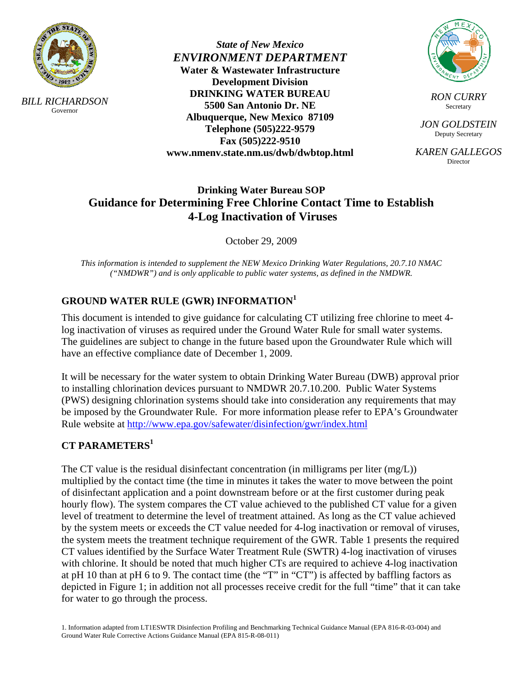

*BILL RICHARDSON*  Governor

*State of New Mexico ENVIRONMENT DEPARTMENT*  **Water & Wastewater Infrastructure Development Division DRINKING WATER BUREAU 5500 San Antonio Dr. NE Albuquerque, New Mexico 87109 Telephone (505)222-9579 Fax (505)222-9510 www.nmenv.state.nm.us/dwb/dwbtop.html** 



*RON CURRY*  Secretary

*JON GOLDSTEIN*  Deputy Secretary

*KAREN GALLEGOS*  Director

## **Drinking Water Bureau SOP Guidance for Determining Free Chlorine Contact Time to Establish 4-Log Inactivation of Viruses**

October 29, 2009

*This information is intended to supplement the NEW Mexico Drinking Water Regulations, 20.7.10 NMAC ("NMDWR") and is only applicable to public water systems, as defined in the NMDWR.* 

# **GROUND WATER RULE (GWR) INFORMATION<sup>1</sup>**

This document is intended to give guidance for calculating CT utilizing free chlorine to meet 4 log inactivation of viruses as required under the Ground Water Rule for small water systems. The guidelines are subject to change in the future based upon the Groundwater Rule which will have an effective compliance date of December 1, 2009.

It will be necessary for the water system to obtain Drinking Water Bureau (DWB) approval prior to installing chlorination devices pursuant to NMDWR 20.7.10.200. Public Water Systems (PWS) designing chlorination systems should take into consideration any requirements that may be imposed by the Groundwater Rule. For more information please refer to EPA's Groundwater Rule website at<http://www.epa.gov/safewater/disinfection/gwr/index.html>

## **CT PARAMETERS1**

The CT value is the residual disinfectant concentration (in milligrams per liter (mg/L)) multiplied by the contact time (the time in minutes it takes the water to move between the point of disinfectant application and a point downstream before or at the first customer during peak hourly flow). The system compares the CT value achieved to the published CT value for a given level of treatment to determine the level of treatment attained. As long as the CT value achieved by the system meets or exceeds the CT value needed for 4-log inactivation or removal of viruses, the system meets the treatment technique requirement of the GWR. Table 1 presents the required CT values identified by the Surface Water Treatment Rule (SWTR) 4-log inactivation of viruses with chlorine. It should be noted that much higher CTs are required to achieve 4-log inactivation at pH 10 than at pH 6 to 9. The contact time (the "T" in "CT") is affected by baffling factors as depicted in Figure 1; in addition not all processes receive credit for the full "time" that it can take for water to go through the process.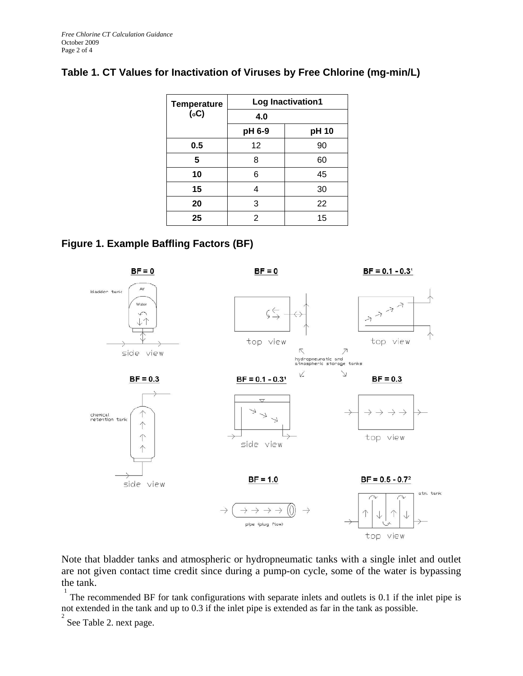### **Table 1. CT Values for Inactivation of Viruses by Free Chlorine (mg-min/L)**

| <b>Temperature</b> | Log Inactivation1 |       |
|--------------------|-------------------|-------|
| (oC)               | 4.0               |       |
|                    | pH 6-9            | pH 10 |
| 0.5                | 12                | 90    |
| 5                  | 8                 | 60    |
| 10                 | 6                 | 45    |
| 15                 | 4                 | 30    |
| 20                 | 3                 | 22    |
| 25                 | 2                 | 15    |

#### **Figure 1. Example Baffling Factors (BF)**



Note that bladder tanks and atmospheric or hydropneumatic tanks with a single inlet and outlet are not given contact time credit since during a pump-on cycle, some of the water is bypassing the tank.

1 The recommended BF for tank configurations with separate inlets and outlets is 0.1 if the inlet pipe is not extended in the tank and up to 0.3 if the inlet pipe is extended as far in the tank as possible.

2 See Table 2. next page.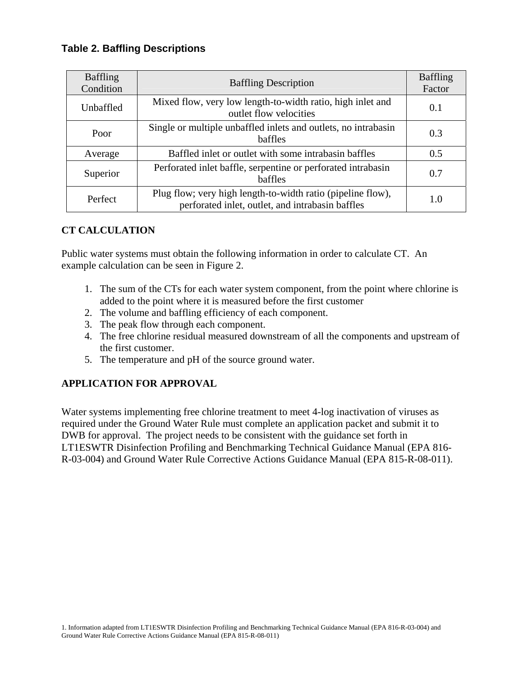### **Table 2. Baffling Descriptions**

| <b>Baffling</b><br>Condition | <b>Baffling Description</b>                                                                                     | <b>Baffling</b><br>Factor |
|------------------------------|-----------------------------------------------------------------------------------------------------------------|---------------------------|
| Unbaffled                    | Mixed flow, very low length-to-width ratio, high inlet and<br>outlet flow velocities                            | 0.1                       |
| Poor                         | Single or multiple unbaffled inlets and outlets, no intrabasin<br>baffles                                       | 0.3                       |
| Average                      | Baffled inlet or outlet with some intrabasin baffles                                                            | 0.5                       |
| Superior                     | Perforated inlet baffle, serpentine or perforated intrabasin<br>baffles                                         | 0.7                       |
| Perfect                      | Plug flow; very high length-to-width ratio (pipeline flow),<br>perforated inlet, outlet, and intrabasin baffles | 1.0                       |

### **CT CALCULATION**

Public water systems must obtain the following information in order to calculate CT. An example calculation can be seen in Figure 2.

- 1. The sum of the CTs for each water system component, from the point where chlorine is added to the point where it is measured before the first customer
- 2. The volume and baffling efficiency of each component.
- 3. The peak flow through each component.
- 4. The free chlorine residual measured downstream of all the components and upstream of the first customer.
- 5. The temperature and pH of the source ground water.

#### **APPLICATION FOR APPROVAL**

Water systems implementing free chlorine treatment to meet 4-log inactivation of viruses as required under the Ground Water Rule must complete an application packet and submit it to DWB for approval. The project needs to be consistent with the guidance set forth in LT1ESWTR Disinfection Profiling and Benchmarking Technical Guidance Manual (EPA 816- R-03-004) and Ground Water Rule Corrective Actions Guidance Manual (EPA 815-R-08-011).